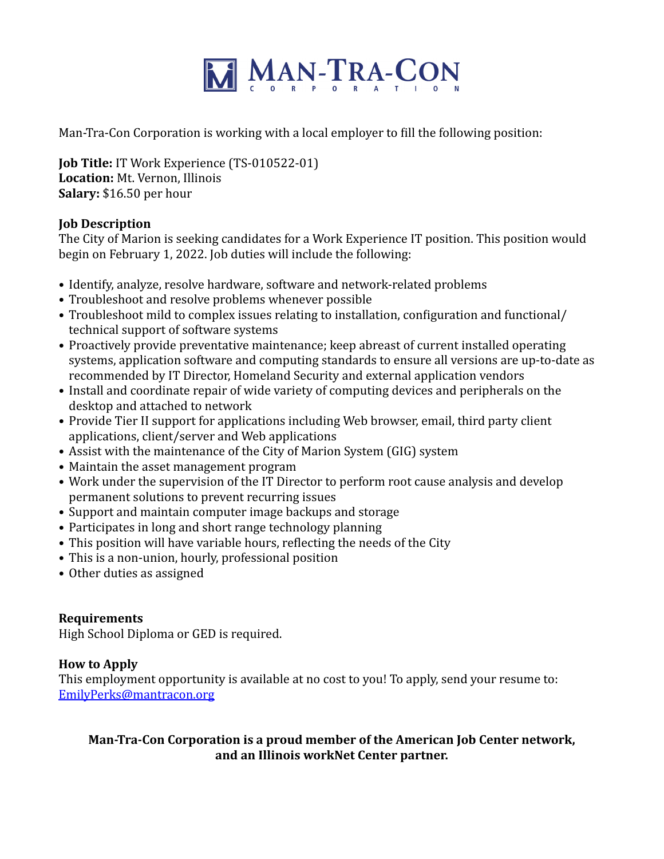

Man-Tra-Con Corporation is working with a local employer to fill the following position:

**Job Title:** IT Work Experience (TS-010522-01) Location: Mt. Vernon, Illinois **Salary:** \$16.50 per hour

## **Job Description**

The City of Marion is seeking candidates for a Work Experience IT position. This position would begin on February 1, 2022. Job duties will include the following:

- Identify, analyze, resolve hardware, software and network-related problems
- Troubleshoot and resolve problems whenever possible
- Troubleshoot mild to complex issues relating to installation, configuration and functional/ technical support of software systems
- Proactively provide preventative maintenance; keep abreast of current installed operating systems, application software and computing standards to ensure all versions are up-to-date as recommended by IT Director, Homeland Security and external application vendors
- Install and coordinate repair of wide variety of computing devices and peripherals on the desktop and attached to network
- Provide Tier II support for applications including Web browser, email, third party client applications, client/server and Web applications
- Assist with the maintenance of the City of Marion System (GIG) system
- Maintain the asset management program
- Work under the supervision of the IT Director to perform root cause analysis and develop permanent solutions to prevent recurring issues
- Support and maintain computer image backups and storage
- Participates in long and short range technology planning
- This position will have variable hours, reflecting the needs of the City
- This is a non-union, hourly, professional position
- Other duties as assigned

## **Requirements**

High School Diploma or GED is required.

## **How to Apply**

This employment opportunity is available at no cost to you! To apply, send your resume to: [EmilyPerks@mantracon.org](mailto:EmilyPerks@mantracon.org)

## **Man-Tra-Con Corporation is a proud member of the American Job Center network,** and an Illinois workNet Center partner.